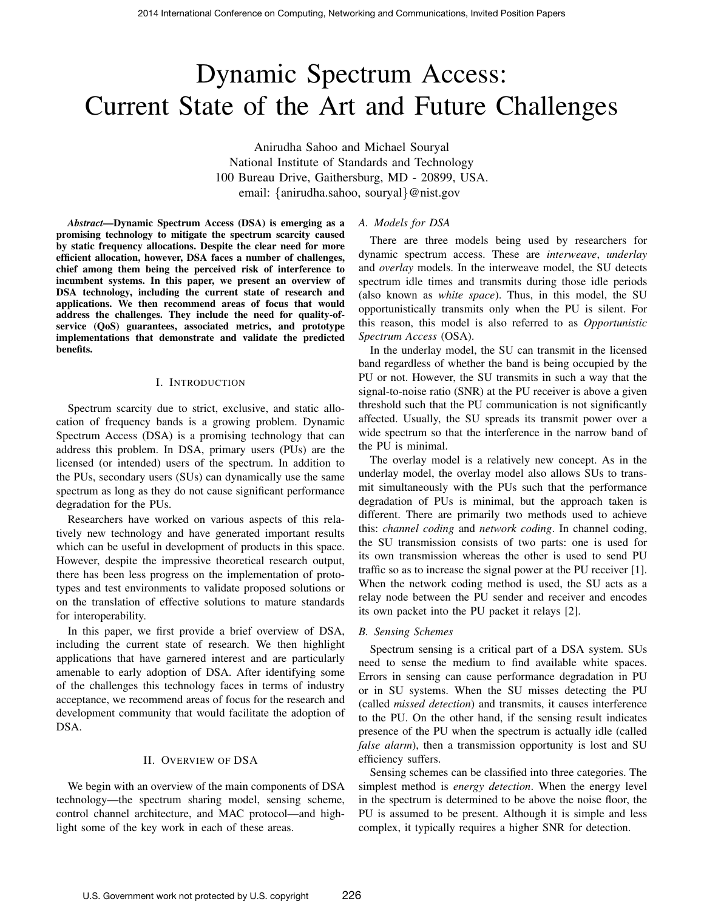# Dynamic Spectrum Access: Current State of the Art and Future Challenges

Anirudha Sahoo and Michael Souryal National Institute of Standards and Technology 100 Bureau Drive, Gaithersburg, MD - 20899, USA. email: {anirudha.sahoo, souryal}@nist.gov

*Abstract*—Dynamic Spectrum Access (DSA) is emerging as a promising technology to mitigate the spectrum scarcity caused by static frequency allocations. Despite the clear need for more efficient allocation, however, DSA faces a number of challenges, chief among them being the perceived risk of interference to incumbent systems. In this paper, we present an overview of DSA technology, including the current state of research and applications. We then recommend areas of focus that would address the challenges. They include the need for quality-ofservice (QoS) guarantees, associated metrics, and prototype implementations that demonstrate and validate the predicted benefits.

## I. INTRODUCTION

Spectrum scarcity due to strict, exclusive, and static allocation of frequency bands is a growing problem. Dynamic Spectrum Access (DSA) is a promising technology that can address this problem. In DSA, primary users (PUs) are the licensed (or intended) users of the spectrum. In addition to the PUs, secondary users (SUs) can dynamically use the same spectrum as long as they do not cause significant performance degradation for the PUs.

Researchers have worked on various aspects of this relatively new technology and have generated important results which can be useful in development of products in this space. However, despite the impressive theoretical research output, there has been less progress on the implementation of prototypes and test environments to validate proposed solutions or on the translation of effective solutions to mature standards for interoperability.

In this paper, we first provide a brief overview of DSA, including the current state of research. We then highlight applications that have garnered interest and are particularly amenable to early adoption of DSA. After identifying some of the challenges this technology faces in terms of industry acceptance, we recommend areas of focus for the research and development community that would facilitate the adoption of DSA.

#### II. OVERVIEW OF DSA

We begin with an overview of the main components of DSA technology—the spectrum sharing model, sensing scheme, control channel architecture, and MAC protocol—and highlight some of the key work in each of these areas.

## *A. Models for DSA*

There are three models being used by researchers for dynamic spectrum access. These are *interweave*, *underlay* and *overlay* models. In the interweave model, the SU detects spectrum idle times and transmits during those idle periods (also known as *white space*). Thus, in this model, the SU opportunistically transmits only when the PU is silent. For this reason, this model is also referred to as *Opportunistic Spectrum Access* (OSA).

In the underlay model, the SU can transmit in the licensed band regardless of whether the band is being occupied by the PU or not. However, the SU transmits in such a way that the signal-to-noise ratio (SNR) at the PU receiver is above a given threshold such that the PU communication is not significantly affected. Usually, the SU spreads its transmit power over a wide spectrum so that the interference in the narrow band of the PU is minimal.

The overlay model is a relatively new concept. As in the underlay model, the overlay model also allows SUs to transmit simultaneously with the PUs such that the performance degradation of PUs is minimal, but the approach taken is different. There are primarily two methods used to achieve this: *channel coding* and *network coding*. In channel coding, the SU transmission consists of two parts: one is used for its own transmission whereas the other is used to send PU traffic so as to increase the signal power at the PU receiver [1]. When the network coding method is used, the SU acts as a relay node between the PU sender and receiver and encodes its own packet into the PU packet it relays [2].

#### *B. Sensing Schemes*

Spectrum sensing is a critical part of a DSA system. SUs need to sense the medium to find available white spaces. Errors in sensing can cause performance degradation in PU or in SU systems. When the SU misses detecting the PU (called *missed detection*) and transmits, it causes interference to the PU. On the other hand, if the sensing result indicates presence of the PU when the spectrum is actually idle (called *false alarm*), then a transmission opportunity is lost and SU efficiency suffers.

Sensing schemes can be classified into three categories. The simplest method is *energy detection*. When the energy level in the spectrum is determined to be above the noise floor, the PU is assumed to be present. Although it is simple and less complex, it typically requires a higher SNR for detection.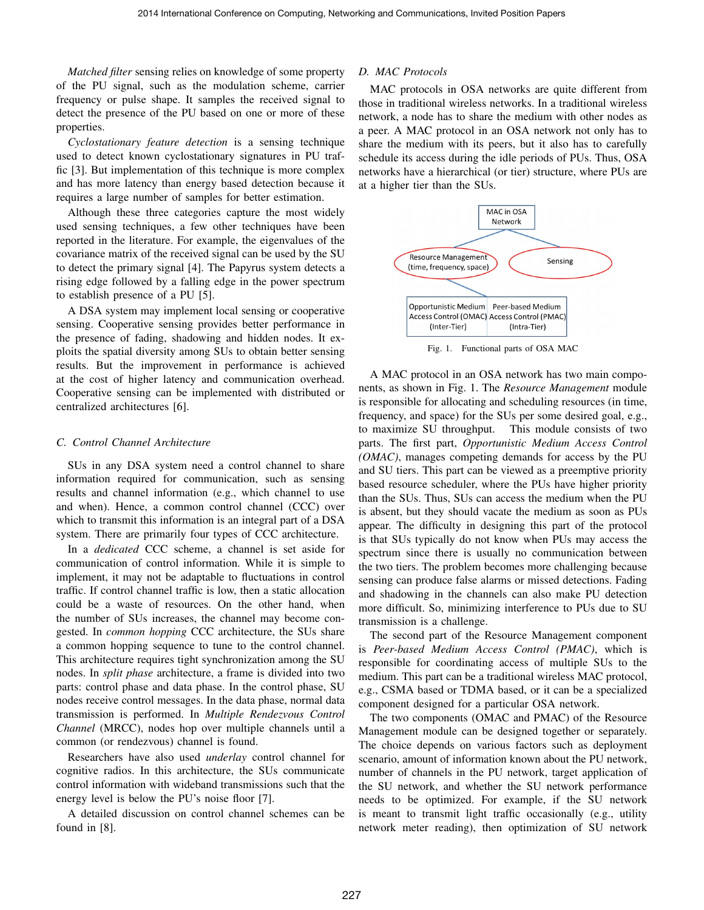*Matched filter* sensing relies on knowledge of some property of the PU signal, such as the modulation scheme, carrier frequency or pulse shape. It samples the received signal to detect the presence of the PU based on one or more of these properties.

*Cyclostationary feature detection* is a sensing technique used to detect known cyclostationary signatures in PU traffic [3]. But implementation of this technique is more complex and has more latency than energy based detection because it requires a large number of samples for better estimation.

Although these three categories capture the most widely used sensing techniques, a few other techniques have been reported in the literature. For example, the eigenvalues of the covariance matrix of the received signal can be used by the SU to detect the primary signal [4]. The Papyrus system detects a rising edge followed by a falling edge in the power spectrum to establish presence of a PU [5].

A DSA system may implement local sensing or cooperative sensing. Cooperative sensing provides better performance in the presence of fading, shadowing and hidden nodes. It exploits the spatial diversity among SUs to obtain better sensing results. But the improvement in performance is achieved at the cost of higher latency and communication overhead. Cooperative sensing can be implemented with distributed or centralized architectures [6].

## *C. Control Channel Architecture*

SUs in any DSA system need a control channel to share information required for communication, such as sensing results and channel information (e.g., which channel to use and when). Hence, a common control channel (CCC) over which to transmit this information is an integral part of a DSA system. There are primarily four types of CCC architecture.

In a *dedicated* CCC scheme, a channel is set aside for communication of control information. While it is simple to implement, it may not be adaptable to fluctuations in control traffic. If control channel traffic is low, then a static allocation could be a waste of resources. On the other hand, when the number of SUs increases, the channel may become congested. In *common hopping* CCC architecture, the SUs share a common hopping sequence to tune to the control channel. This architecture requires tight synchronization among the SU nodes. In *split phase* architecture, a frame is divided into two parts: control phase and data phase. In the control phase, SU nodes receive control messages. In the data phase, normal data transmission is performed. In *Multiple Rendezvous Control Channel* (MRCC), nodes hop over multiple channels until a common (or rendezvous) channel is found.

Researchers have also used *underlay* control channel for cognitive radios. In this architecture, the SUs communicate control information with wideband transmissions such that the energy level is below the PU's noise floor [7].

A detailed discussion on control channel schemes can be found in [8].

## *D. MAC Protocols*

MAC protocols in OSA networks are quite different from those in traditional wireless networks. In a traditional wireless network, a node has to share the medium with other nodes as a peer. A MAC protocol in an OSA network not only has to share the medium with its peers, but it also has to carefully schedule its access during the idle periods of PUs. Thus, OSA networks have a hierarchical (or tier) structure, where PUs are at a higher tier than the SUs.



Fig. 1. Functional parts of OSA MAC

A MAC protocol in an OSA network has two main components, as shown in Fig. 1. The *Resource Management* module is responsible for allocating and scheduling resources (in time, frequency, and space) for the SUs per some desired goal, e.g., to maximize SU throughput. This module consists of two parts. The first part, *Opportunistic Medium Access Control (OMAC)*, manages competing demands for access by the PU and SU tiers. This part can be viewed as a preemptive priority based resource scheduler, where the PUs have higher priority than the SUs. Thus, SUs can access the medium when the PU is absent, but they should vacate the medium as soon as PUs appear. The difficulty in designing this part of the protocol is that SUs typically do not know when PUs may access the spectrum since there is usually no communication between the two tiers. The problem becomes more challenging because sensing can produce false alarms or missed detections. Fading and shadowing in the channels can also make PU detection more difficult. So, minimizing interference to PUs due to SU transmission is a challenge.

The second part of the Resource Management component is *Peer-based Medium Access Control (PMAC)*, which is responsible for coordinating access of multiple SUs to the medium. This part can be a traditional wireless MAC protocol, e.g., CSMA based or TDMA based, or it can be a specialized component designed for a particular OSA network.

The two components (OMAC and PMAC) of the Resource Management module can be designed together or separately. The choice depends on various factors such as deployment scenario, amount of information known about the PU network, number of channels in the PU network, target application of the SU network, and whether the SU network performance needs to be optimized. For example, if the SU network is meant to transmit light traffic occasionally (e.g., utility network meter reading), then optimization of SU network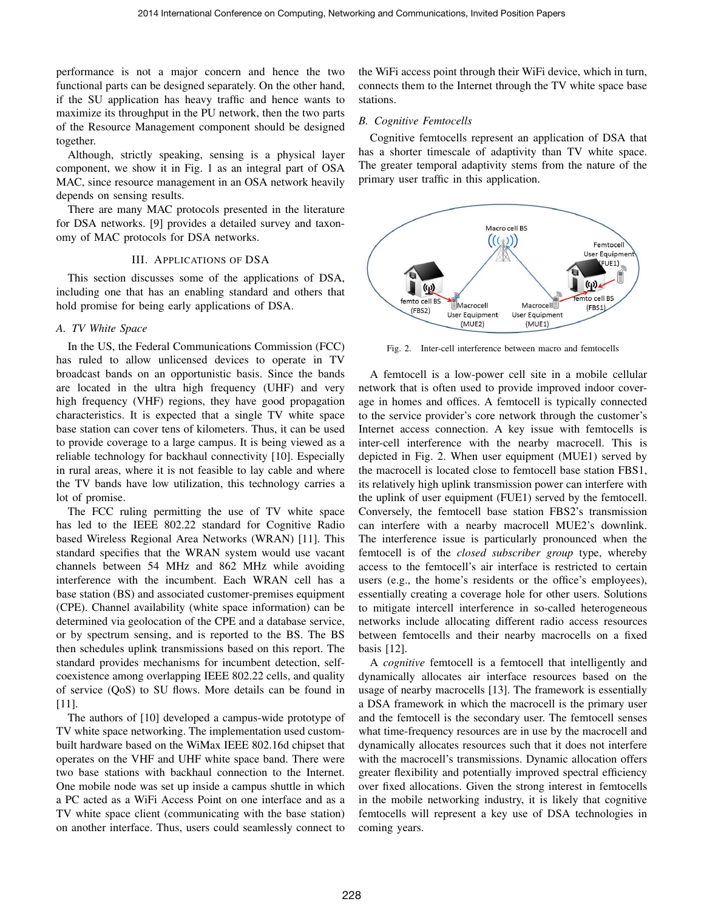performance is not a major concern and hence the two functional parts can be designed separately. On the other hand, if the SU application has heavy traffic and hence wants to maximize its throughput in the PU network, then the two parts of the Resource Management component should be designed together.

Although, strictly speaking, sensing is a physical layer component, we show it in Fig. 1 as an integral part of OSA MAC, since resource management in an OSA network heavily depends on sensing results.

There are many MAC protocols presented in the literature for DSA networks. [9] provides a detailed survey and taxonomy of MAC protocols for DSA networks.

## III. APPLICATIONS OF DSA

This section discusses some of the applications of DSA, including one that has an enabling standard and others that hold promise for being early applications of DSA.

# *A. TV White Space*

In the US, the Federal Communications Commission (FCC) has ruled to allow unlicensed devices to operate in TV broadcast bands on an opportunistic basis. Since the bands are located in the ultra high frequency (UHF) and very high frequency (VHF) regions, they have good propagation characteristics. It is expected that a single TV white space base station can cover tens of kilometers. Thus, it can be used to provide coverage to a large campus. It is being viewed as a reliable technology for backhaul connectivity [10]. Especially in rural areas, where it is not feasible to lay cable and where the TV bands have low utilization, this technology carries a lot of promise.

The FCC ruling permitting the use of TV white space has led to the IEEE 802.22 standard for Cognitive Radio based Wireless Regional Area Networks (WRAN) [11]. This standard specifies that the WRAN system would use vacant channels between 54 MHz and 862 MHz while avoiding interference with the incumbent. Each WRAN cell has a base station (BS) and associated customer-premises equipment (CPE). Channel availability (white space information) can be determined via geolocation of the CPE and a database service, or by spectrum sensing, and is reported to the BS. The BS then schedules uplink transmissions based on this report. The standard provides mechanisms for incumbent detection, selfcoexistence among overlapping IEEE 802.22 cells, and quality of service (QoS) to SU flows. More details can be found in [11].

The authors of [10] developed a campus-wide prototype of TV white space networking. The implementation used custombuilt hardware based on the WiMax IEEE 802.16d chipset that operates on the VHF and UHF white space band. There were two base stations with backhaul connection to the Internet. One mobile node was set up inside a campus shuttle in which a PC acted as a WiFi Access Point on one interface and as a TV white space client (communicating with the base station) on another interface. Thus, users could seamlessly connect to the WiFi access point through their WiFi device, which in turn, connects them to the Internet through the TV white space base stations.

## *B. Cognitive Femtocells*

Cognitive femtocells represent an application of DSA that has a shorter timescale of adaptivity than TV white space. The greater temporal adaptivity stems from the nature of the primary user traffic in this application.



Fig. 2. Inter-cell interference between macro and femtocells

A femtocell is a low-power cell site in a mobile cellular network that is often used to provide improved indoor coverage in homes and offices. A femtocell is typically connected to the service provider's core network through the customer's Internet access connection. A key issue with femtocells is inter-cell interference with the nearby macrocell. This is depicted in Fig. 2. When user equipment (MUE1) served by the macrocell is located close to femtocell base station FBS1, its relatively high uplink transmission power can interfere with the uplink of user equipment (FUE1) served by the femtocell. Conversely, the femtocell base station FBS2's transmission can interfere with a nearby macrocell MUE2's downlink. The interference issue is particularly pronounced when the femtocell is of the *closed subscriber group* type, whereby access to the femtocell's air interface is restricted to certain users (e.g., the home's residents or the office's employees), essentially creating a coverage hole for other users. Solutions to mitigate intercell interference in so-called heterogeneous networks include allocating different radio access resources between femtocells and their nearby macrocells on a fixed basis [12].

A *cognitive* femtocell is a femtocell that intelligently and dynamically allocates air interface resources based on the usage of nearby macrocells [13]. The framework is essentially a DSA framework in which the macrocell is the primary user and the femtocell is the secondary user. The femtocell senses what time-frequency resources are in use by the macrocell and dynamically allocates resources such that it does not interfere with the macrocell's transmissions. Dynamic allocation offers greater flexibility and potentially improved spectral efficiency over fixed allocations. Given the strong interest in femtocells in the mobile networking industry, it is likely that cognitive femtocells will represent a key use of DSA technologies in coming years.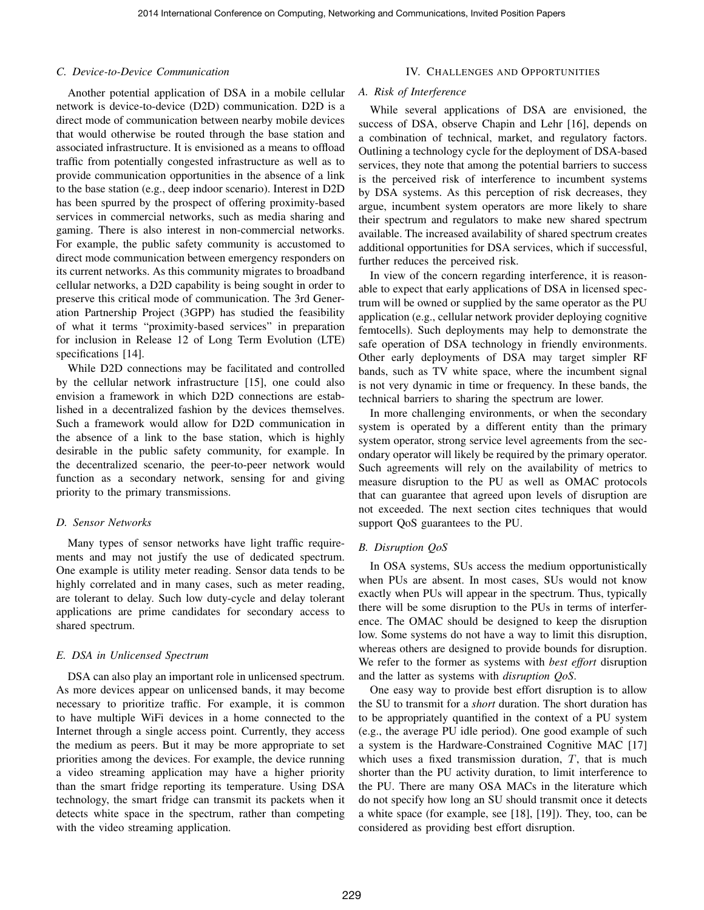## *C. Device-to-Device Communication*

Another potential application of DSA in a mobile cellular network is device-to-device (D2D) communication. D2D is a direct mode of communication between nearby mobile devices that would otherwise be routed through the base station and associated infrastructure. It is envisioned as a means to offload traffic from potentially congested infrastructure as well as to provide communication opportunities in the absence of a link to the base station (e.g., deep indoor scenario). Interest in D2D has been spurred by the prospect of offering proximity-based services in commercial networks, such as media sharing and gaming. There is also interest in non-commercial networks. For example, the public safety community is accustomed to direct mode communication between emergency responders on its current networks. As this community migrates to broadband cellular networks, a D2D capability is being sought in order to preserve this critical mode of communication. The 3rd Generation Partnership Project (3GPP) has studied the feasibility of what it terms "proximity-based services" in preparation for inclusion in Release 12 of Long Term Evolution (LTE) specifications [14].

While D2D connections may be facilitated and controlled by the cellular network infrastructure [15], one could also envision a framework in which D2D connections are established in a decentralized fashion by the devices themselves. Such a framework would allow for D2D communication in the absence of a link to the base station, which is highly desirable in the public safety community, for example. In the decentralized scenario, the peer-to-peer network would function as a secondary network, sensing for and giving priority to the primary transmissions.

# *D. Sensor Networks*

Many types of sensor networks have light traffic requirements and may not justify the use of dedicated spectrum. One example is utility meter reading. Sensor data tends to be highly correlated and in many cases, such as meter reading, are tolerant to delay. Such low duty-cycle and delay tolerant applications are prime candidates for secondary access to shared spectrum.

## *E. DSA in Unlicensed Spectrum*

DSA can also play an important role in unlicensed spectrum. As more devices appear on unlicensed bands, it may become necessary to prioritize traffic. For example, it is common to have multiple WiFi devices in a home connected to the Internet through a single access point. Currently, they access the medium as peers. But it may be more appropriate to set priorities among the devices. For example, the device running a video streaming application may have a higher priority than the smart fridge reporting its temperature. Using DSA technology, the smart fridge can transmit its packets when it detects white space in the spectrum, rather than competing with the video streaming application.

## IV. CHALLENGES AND OPPORTUNITIES

# *A. Risk of Interference*

While several applications of DSA are envisioned, the success of DSA, observe Chapin and Lehr [16], depends on a combination of technical, market, and regulatory factors. Outlining a technology cycle for the deployment of DSA-based services, they note that among the potential barriers to success is the perceived risk of interference to incumbent systems by DSA systems. As this perception of risk decreases, they argue, incumbent system operators are more likely to share their spectrum and regulators to make new shared spectrum available. The increased availability of shared spectrum creates additional opportunities for DSA services, which if successful, further reduces the perceived risk.

In view of the concern regarding interference, it is reasonable to expect that early applications of DSA in licensed spectrum will be owned or supplied by the same operator as the PU application (e.g., cellular network provider deploying cognitive femtocells). Such deployments may help to demonstrate the safe operation of DSA technology in friendly environments. Other early deployments of DSA may target simpler RF bands, such as TV white space, where the incumbent signal is not very dynamic in time or frequency. In these bands, the technical barriers to sharing the spectrum are lower.

In more challenging environments, or when the secondary system is operated by a different entity than the primary system operator, strong service level agreements from the secondary operator will likely be required by the primary operator. Such agreements will rely on the availability of metrics to measure disruption to the PU as well as OMAC protocols that can guarantee that agreed upon levels of disruption are not exceeded. The next section cites techniques that would support QoS guarantees to the PU.

# *B. Disruption QoS*

In OSA systems, SUs access the medium opportunistically when PUs are absent. In most cases, SUs would not know exactly when PUs will appear in the spectrum. Thus, typically there will be some disruption to the PUs in terms of interference. The OMAC should be designed to keep the disruption low. Some systems do not have a way to limit this disruption, whereas others are designed to provide bounds for disruption. We refer to the former as systems with *best effort* disruption and the latter as systems with *disruption QoS*.

One easy way to provide best effort disruption is to allow the SU to transmit for a *short* duration. The short duration has to be appropriately quantified in the context of a PU system (e.g., the average PU idle period). One good example of such a system is the Hardware-Constrained Cognitive MAC [17] which uses a fixed transmission duration,  $T$ , that is much shorter than the PU activity duration, to limit interference to the PU. There are many OSA MACs in the literature which do not specify how long an SU should transmit once it detects a white space (for example, see [18], [19]). They, too, can be considered as providing best effort disruption.